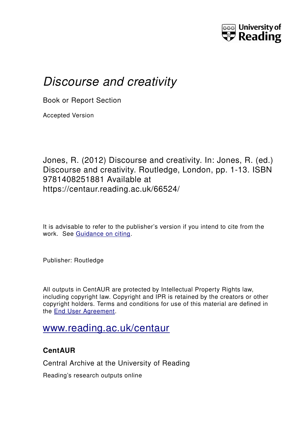

# *Discourse and creativity*

Book or Report Section

Accepted Version

Jones, R. (2012) Discourse and creativity. In: Jones, R. (ed.) Discourse and creativity. Routledge, London, pp. 1-13. ISBN 9781408251881 Available at https://centaur.reading.ac.uk/66524/

It is advisable to refer to the publisher's version if you intend to cite from the work. See [Guidance on citing.](http://centaur.reading.ac.uk/71187/10/CentAUR%20citing%20guide.pdf)

Publisher: Routledge

All outputs in CentAUR are protected by Intellectual Property Rights law, including copyright law. Copyright and IPR is retained by the creators or other copyright holders. Terms and conditions for use of this material are defined in the [End User Agreement.](http://centaur.reading.ac.uk/licence)

## [www.reading.ac.uk/centaur](http://www.reading.ac.uk/centaur)

### **CentAUR**

Central Archive at the University of Reading

Reading's research outputs online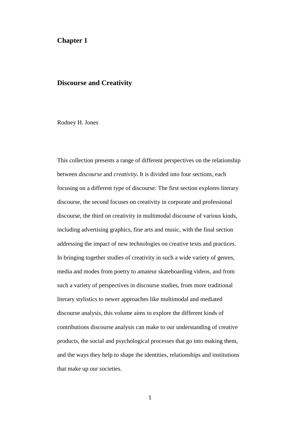#### **Chapter 1**

#### **Discourse and Creativity**

Rodney H. Jones

This collection presents a range of different perspectives on the relationship between *discourse* and *creativity***.** It is divided into four sections, each focusing on a different type of discourse: The first section explores literary discourse, the second focuses on creativity in corporate and professional discourse, the third on creativity in multimodal discourse of various kinds, including advertising graphics, fine arts and music, with the final section addressing the impact of new technologies on creative texts and practices. In bringing together studies of creativity in such a wide variety of genres, media and modes from poetry to amateur skateboarding videos, and from such a variety of perspectives in discourse studies, from more traditional literary stylistics to newer approaches like multimodal and mediated discourse analysis, this volume aims to explore the different kinds of contributions discourse analysis can make to our understanding of creative products, the social and psychological processes that go into making them, and the ways they help to shape the identities, relationships and institutions that make up our societies.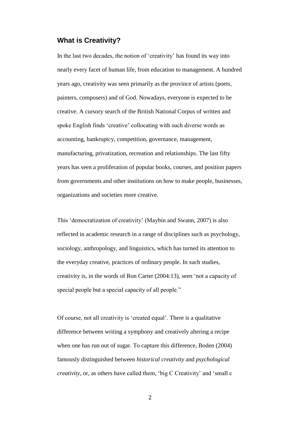#### **What is Creativity?**

In the last two decades, the notion of 'creativity' has found its way into nearly every facet of human life, from education to management. A hundred years ago, creativity was seen primarily as the province of artists (poets, painters, composers) and of God. Nowadays, everyone is expected to be creative. A cursory search of the British National Corpus of written and spoke English finds 'creative' collocating with such diverse words as accounting, bankruptcy, competition, governance, management, manufacturing, privatization, recreation and relationships. The last fifty years has seen a proliferation of popular books, courses, and position papers from governments and other institutions on how to make people, businesses, organizations and societies more creative.

This 'democratization of creativity' (Maybin and Swann, 2007) is also reflected in academic research in a range of disciplines such as psychology, sociology, anthropology, and linguistics, which has turned its attention to the everyday creative, practices of ordinary people. In such studies, creativity is, in the words of Ron Carter (2004:13), seen 'not a capacity of special people but a special capacity of all people."

Of course, not all creativity is 'created equal'. There is a qualitative difference between writing a symphony and creatively altering a recipe when one has run out of sugar. To capture this difference, Boden (2004) famously distinguished between *historical creativity* and *psychological creativity*, or, as others have called them, 'big C Creativity' and 'small c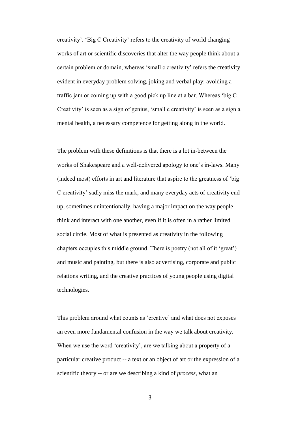creativity'. 'Big C Creativity' refers to the creativity of world changing works of art or scientific discoveries that alter the way people think about a certain problem or domain, whereas 'small c creativity' refers the creativity evident in everyday problem solving, joking and verbal play: avoiding a traffic jam or coming up with a good pick up line at a bar. Whereas 'big C Creativity' is seen as a sign of genius, 'small c creativity' is seen as a sign a mental health, a necessary competence for getting along in the world.

The problem with these definitions is that there is a lot in-between the works of Shakespeare and a well-delivered apology to one's in-laws. Many (indeed most) efforts in art and literature that aspire to the greatness of 'big C creativity' sadly miss the mark, and many everyday acts of creativity end up, sometimes unintentionally, having a major impact on the way people think and interact with one another, even if it is often in a rather limited social circle. Most of what is presented as creativity in the following chapters occupies this middle ground. There is poetry (not all of it 'great') and music and painting, but there is also advertising, corporate and public relations writing, and the creative practices of young people using digital technologies.

This problem around what counts as 'creative' and what does not exposes an even more fundamental confusion in the way we talk about creativity. When we use the word 'creativity', are we talking about a property of a particular creative product -- a text or an object of art or the expression of a scientific theory -- or are we describing a kind of *process*, what an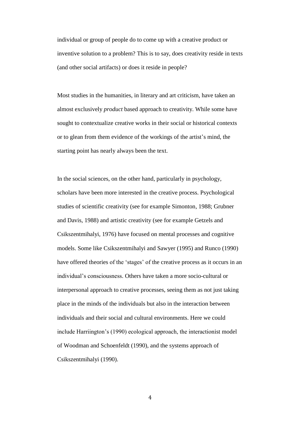individual or group of people do to come up with a creative product or inventive solution to a problem? This is to say, does creativity reside in texts (and other social artifacts) or does it reside in people?

Most studies in the humanities, in literary and art criticism, have taken an almost exclusively *product* based approach to creativity. While some have sought to contextualize creative works in their social or historical contexts or to glean from them evidence of the workings of the artist's mind, the starting point has nearly always been the text.

In the social sciences, on the other hand, particularly in psychology, scholars have been more interested in the creative process. Psychological studies of scientific creativity (see for example Simonton, 1988; Grubner and Davis, 1988) and artistic creativity (see for example Getzels and Csikszentmihalyi, 1976) have focused on mental processes and cognitive models. Some like Csikszentmihalyi and Sawyer (1995) and Runco (1990) have offered theories of the 'stages' of the creative process as it occurs in an individual's consciousness. Others have taken a more socio-cultural or interpersonal approach to creative processes, seeing them as not just taking place in the minds of the individuals but also in the interaction between individuals and their social and cultural environments. Here we could include Harriington's (1990) ecological approach, the interactionist model of Woodman and Schoenfeldt (1990), and the systems approach of Csikszentmihalyi (1990).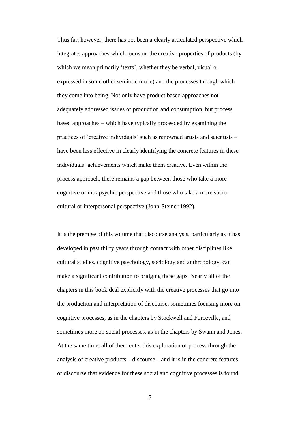Thus far, however, there has not been a clearly articulated perspective which integrates approaches which focus on the creative properties of products (by which we mean primarily 'texts', whether they be verbal, visual or expressed in some other semiotic mode) and the processes through which they come into being. Not only have product based approaches not adequately addressed issues of production and consumption, but process based approaches – which have typically proceeded by examining the practices of 'creative individuals' such as renowned artists and scientists – have been less effective in clearly identifying the concrete features in these individuals' achievements which make them creative. Even within the process approach, there remains a gap between those who take a more cognitive or intrapsychic perspective and those who take a more sociocultural or interpersonal perspective (John-Steiner 1992).

It is the premise of this volume that discourse analysis, particularly as it has developed in past thirty years through contact with other disciplines like cultural studies, cognitive psychology, sociology and anthropology, can make a significant contribution to bridging these gaps. Nearly all of the chapters in this book deal explicitly with the creative processes that go into the production and interpretation of discourse, sometimes focusing more on cognitive processes, as in the chapters by Stockwell and Forceville, and sometimes more on social processes, as in the chapters by Swann and Jones. At the same time, all of them enter this exploration of process through the analysis of creative products – discourse – and it is in the concrete features of discourse that evidence for these social and cognitive processes is found.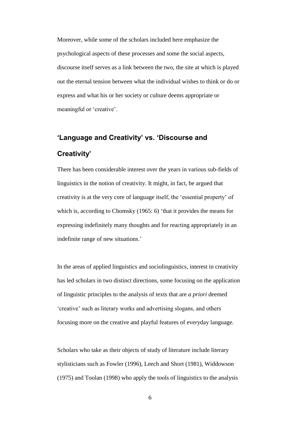Moreover, while some of the scholars included here emphasize the psychological aspects of these processes and some the social aspects, discourse itself serves as a link between the two, the site at which is played out the eternal tension between what the individual wishes to think or do or express and what his or her society or culture deems appropriate or meaningful or 'creative'.

# **'Language and Creativity' vs. 'Discourse and Creativity'**

There has been considerable interest over the years in various sub-fields of linguistics in the notion of creativity. It might, in fact, be argued that creativity is at the very core of language itself, the 'essential property' of which is, according to Chomsky (1965: 6) 'that it provides the means for expressing indefinitely many thoughts and for reacting appropriately in an indefinite range of new situations.'

In the areas of applied linguistics and sociolinguistics, interest in creativity has led scholars in two distinct directions, some focusing on the application of linguistic principles to the analysis of texts that are *a priori* deemed 'creative' such as literary works and advertising slogans, and others focusing more on the creative and playful features of everyday language.

Scholars who take as their objects of study of literature include literary stylisticians such as Fowler (1996), Leech and Short (1981), Widdowson (1975) and Toolan (1998) who apply the tools of linguistics to the analysis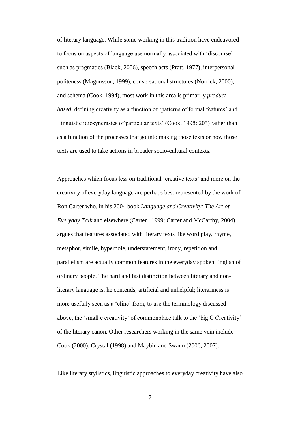of literary language. While some working in this tradition have endeavored to focus on aspects of language use normally associated with 'discourse' such as pragmatics (Black, 2006), speech acts (Pratt, 1977), interpersonal politeness (Magnusson, 1999), conversational structures (Norrick, 2000), and schema (Cook, 1994), most work in this area is primarily *product based*, defining creativity as a function of 'patterns of formal features' and 'linguistic idiosyncrasies of particular texts' (Cook, 1998: 205) rather than as a function of the processes that go into making those texts or how those texts are used to take actions in broader socio-cultural contexts.

Approaches which focus less on traditional 'creative texts' and more on the creativity of everyday language are perhaps best represented by the work of Ron Carter who, in his 2004 book *Language and Creativity: The Art of Everyday Talk* and elsewhere (Carter , 1999; Carter and McCarthy, 2004) argues that features associated with literary texts like word play, rhyme, metaphor, simile, hyperbole, understatement, irony, repetition and parallelism are actually common features in the everyday spoken English of ordinary people. The hard and fast distinction between literary and nonliterary language is, he contends, artificial and unhelpful; literariness is more usefully seen as a 'cline' from, to use the terminology discussed above, the 'small c creativity' of commonplace talk to the 'big C Creativity' of the literary canon. Other researchers working in the same vein include Cook (2000), Crystal (1998) and Maybin and Swann (2006, 2007).

Like literary stylistics, linguistic approaches to everyday creativity have also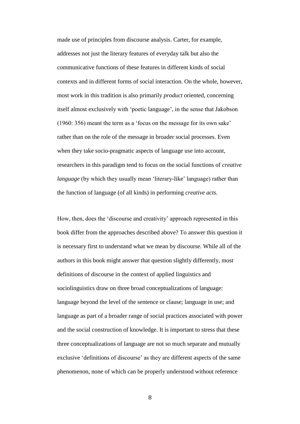made use of principles from discourse analysis. Carter, for example, addresses not just the literary features of everyday talk but also the communicative functions of these features in different kinds of social contexts and in different forms of social interaction. On the whole, however, most work in this tradition is also primarily *product* oriented, concerning itself almost exclusively with 'poetic language', in the sense that Jakobson (1960: 356) meant the term as a 'focus on the message for its own sake' rather than on the role of the message in broader social processes. Even when they take socio-pragmatic aspects of language use into account, researchers in this paradigm tend to focus on the social functions of *creative language* (by which they usually mean 'literary-like' language) rather than the function of language (of all kinds) in performing *creative acts*.

How, then, does the 'discourse and creativity' approach represented in this book differ from the approaches described above? To answer this question it is necessary first to understand what we mean by discourse. While all of the authors in this book might answer that question slightly differently, most definitions of discourse in the context of applied linguistics and sociolinguistics draw on three broad conceptualizations of language: language beyond the level of the sentence or clause; language in use; and language as part of a broader range of social practices associated with power and the social construction of knowledge. It is important to stress that these three conceptualizations of language are not so much separate and mutually exclusive 'definitions of discourse' as they are different aspects of the same phenomenon, none of which can be properly understood without reference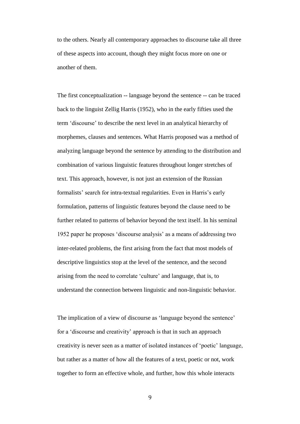to the others. Nearly all contemporary approaches to discourse take all three of these aspects into account, though they might focus more on one or another of them.

The first conceptualization -- language beyond the sentence -- can be traced back to the linguist Zellig Harris (1952), who in the early fifties used the term 'discourse' to describe the next level in an analytical hierarchy of morphemes, clauses and sentences. What Harris proposed was a method of analyzing language beyond the sentence by attending to the distribution and combination of various linguistic features throughout longer stretches of text. This approach, however, is not just an extension of the Russian formalists' search for intra-textual regularities. Even in Harris's early formulation, patterns of linguistic features beyond the clause need to be further related to patterns of behavior beyond the text itself. In his seminal 1952 paper he proposes 'discourse analysis' as a means of addressing two inter-related problems, the first arising from the fact that most models of descriptive linguistics stop at the level of the sentence, and the second arising from the need to correlate 'culture' and language, that is, to understand the connection between linguistic and non-linguistic behavior.

The implication of a view of discourse as 'language beyond the sentence' for a 'discourse and creativity' approach is that in such an approach creativity is never seen as a matter of isolated instances of 'poetic' language, but rather as a matter of how all the features of a text, poetic or not, work together to form an effective whole, and further, how this whole interacts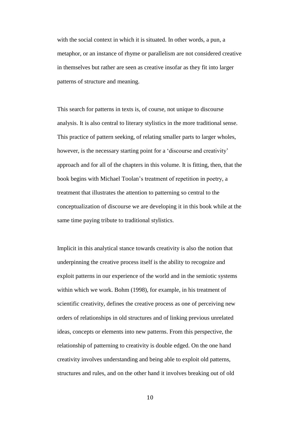with the social context in which it is situated. In other words, a pun, a metaphor, or an instance of rhyme or parallelism are not considered creative in themselves but rather are seen as creative insofar as they fit into larger patterns of structure and meaning.

This search for patterns in texts is, of course, not unique to discourse analysis. It is also central to literary stylistics in the more traditional sense. This practice of pattern seeking, of relating smaller parts to larger wholes, however, is the necessary starting point for a 'discourse and creativity' approach and for all of the chapters in this volume. It is fitting, then, that the book begins with Michael Toolan's treatment of repetition in poetry, a treatment that illustrates the attention to patterning so central to the conceptualization of discourse we are developing it in this book while at the same time paying tribute to traditional stylistics.

Implicit in this analytical stance towards creativity is also the notion that underpinning the creative process itself is the ability to recognize and exploit patterns in our experience of the world and in the semiotic systems within which we work. Bohm (1998), for example, in his treatment of scientific creativity, defines the creative process as one of perceiving new orders of relationships in old structures and of linking previous unrelated ideas, concepts or elements into new patterns. From this perspective, the relationship of patterning to creativity is double edged. On the one hand creativity involves understanding and being able to exploit old patterns, structures and rules, and on the other hand it involves breaking out of old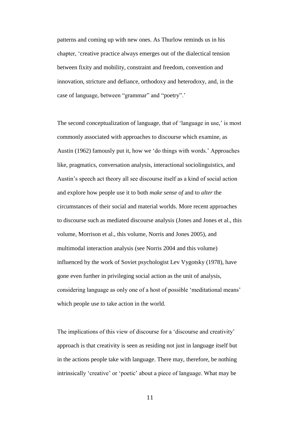patterns and coming up with new ones. As Thurlow reminds us in his chapter, 'creative practice always emerges out of the dialectical tension between fixity and mobility, constraint and freedom, convention and innovation, stricture and defiance, orthodoxy and heterodoxy, and, in the case of language, between "grammar" and "poetry".'

The second conceptualization of language, that of 'language in use,' is most commonly associated with approaches to discourse which examine, as Austin (1962) famously put it, how we 'do things with words.' Approaches like, pragmatics, conversation analysis, interactional sociolinguistics, and Austin's speech act theory all see discourse itself as a kind of social action and explore how people use it to both *make sense of* and to *alter* the circumstances of their social and material worlds. More recent approaches to discourse such as mediated discourse analysis (Jones and Jones et al., this volume, Morrison et al., this volume, Norris and Jones 2005), and multimodal interaction analysis (see Norris 2004 and this volume) influenced by the work of Soviet psychologist Lev Vygotsky (1978), have gone even further in privileging social action as the unit of analysis, considering language as only one of a host of possible 'meditational means' which people use to take action in the world.

The implications of this view of discourse for a 'discourse and creativity' approach is that creativity is seen as residing not just in language itself but in the actions people take with language. There may, therefore, be nothing intrinsically 'creative' or 'poetic' about a piece of language. What may be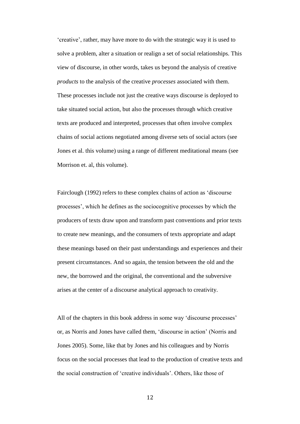'creative', rather, may have more to do with the strategic way it is used to solve a problem, alter a situation or realign a set of social relationships. This view of discourse, in other words, takes us beyond the analysis of creative *products* to the analysis of the creative *processes* associated with them. These processes include not just the creative ways discourse is deployed to take situated social action, but also the processes through which creative texts are produced and interpreted, processes that often involve complex chains of social actions negotiated among diverse sets of social actors (see Jones et al. this volume) using a range of different meditational means (see Morrison et. al, this volume).

Fairclough (1992) refers to these complex chains of action as 'discourse processes', which he defines as the sociocognitive processes by which the producers of texts draw upon and transform past conventions and prior texts to create new meanings, and the consumers of texts appropriate and adapt these meanings based on their past understandings and experiences and their present circumstances. And so again, the tension between the old and the new, the borrowed and the original, the conventional and the subversive arises at the center of a discourse analytical approach to creativity.

All of the chapters in this book address in some way 'discourse processes' or, as Norris and Jones have called them, 'discourse in action' (Norris and Jones 2005). Some, like that by Jones and his colleagues and by Norris focus on the social processes that lead to the production of creative texts and the social construction of 'creative individuals'. Others, like those of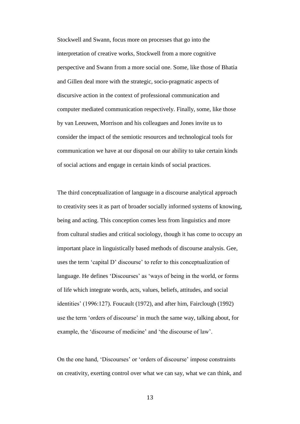Stockwell and Swann, focus more on processes that go into the interpretation of creative works, Stockwell from a more cognitive perspective and Swann from a more social one. Some, like those of Bhatia and Gillen deal more with the strategic, socio-pragmatic aspects of discursive action in the context of professional communication and computer mediated communication respectively. Finally, some, like those by van Leeuwen, Morrison and his colleagues and Jones invite us to consider the impact of the semiotic resources and technological tools for communication we have at our disposal on our ability to take certain kinds of social actions and engage in certain kinds of social practices.

The third conceptualization of language in a discourse analytical approach to creativity sees it as part of broader socially informed systems of knowing, being and acting. This conception comes less from linguistics and more from cultural studies and critical sociology, though it has come to occupy an important place in linguistically based methods of discourse analysis. Gee, uses the term 'capital D' discourse' to refer to this conceptualization of language. He defines 'Discourses' as 'ways of being in the world, or forms of life which integrate words, acts, values, beliefs, attitudes, and social identities' (1996:127). Foucault (1972), and after him, Fairclough (1992) use the term 'orders of discourse' in much the same way, talking about, for example, the 'discourse of medicine' and 'the discourse of law'.

On the one hand, 'Discourses' or 'orders of discourse' impose constraints on creativity, exerting control over what we can say, what we can think, and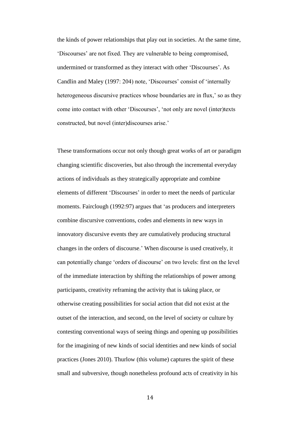the kinds of power relationships that play out in societies. At the same time, 'Discourses' are not fixed. They are vulnerable to being compromised, undermined or transformed as they interact with other 'Discourses'. As Candlin and Maley (1997: 204) note, 'Discourses' consist of 'internally heterogeneous discursive practices whose boundaries are in flux,' so as they come into contact with other 'Discourses', 'not only are novel (inter)texts constructed, but novel (inter)discourses arise.'

These transformations occur not only though great works of art or paradigm changing scientific discoveries, but also through the incremental everyday actions of individuals as they strategically appropriate and combine elements of different 'Discourses' in order to meet the needs of particular moments. Fairclough (1992:97) argues that 'as producers and interpreters combine discursive conventions, codes and elements in new ways in innovatory discursive events they are cumulatively producing structural changes in the orders of discourse.' When discourse is used creatively, it can potentially change 'orders of discourse' on two levels: first on the level of the immediate interaction by shifting the relationships of power among participants, creativity reframing the activity that is taking place, or otherwise creating possibilities for social action that did not exist at the outset of the interaction, and second, on the level of society or culture by contesting conventional ways of seeing things and opening up possibilities for the imagining of new kinds of social identities and new kinds of social practices (Jones 2010). Thurlow (this volume) captures the spirit of these small and subversive, though nonetheless profound acts of creativity in his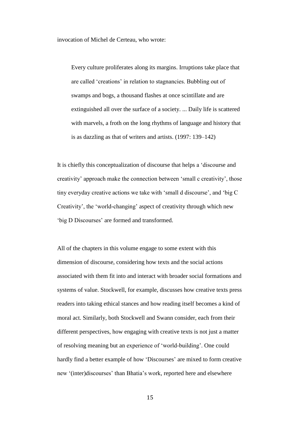invocation of Michel de Certeau, who wrote:

Every culture proliferates along its margins. Irruptions take place that are called 'creations' in relation to stagnancies. Bubbling out of swamps and bogs, a thousand flashes at once scintillate and are extinguished all over the surface of a society. ... Daily life is scattered with marvels, a froth on the long rhythms of language and history that is as dazzling as that of writers and artists. (1997: 139–142)

It is chiefly this conceptualization of discourse that helps a 'discourse and creativity' approach make the connection between 'small c creativity', those tiny everyday creative actions we take with 'small d discourse', and 'big C Creativity', the 'world-changing' aspect of creativity through which new 'big D Discourses' are formed and transformed.

All of the chapters in this volume engage to some extent with this dimension of discourse, considering how texts and the social actions associated with them fit into and interact with broader social formations and systems of value. Stockwell, for example, discusses how creative texts press readers into taking ethical stances and how reading itself becomes a kind of moral act. Similarly, both Stockwell and Swann consider, each from their different perspectives, how engaging with creative texts is not just a matter of resolving meaning but an experience of 'world-building'. One could hardly find a better example of how 'Discourses' are mixed to form creative new '(inter)discourses' than Bhatia's work, reported here and elsewhere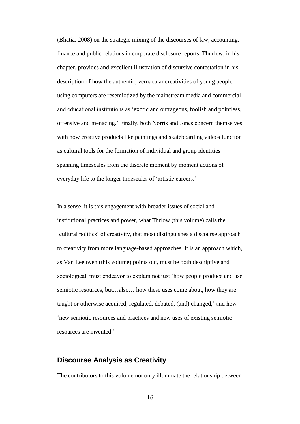(Bhatia, 2008) on the strategic mixing of the discourses of law, accounting, finance and public relations in corporate disclosure reports. Thurlow, in his chapter, provides and excellent illustration of discursive contestation in his description of how the authentic, vernacular creativities of young people using computers are resemiotized by the mainstream media and commercial and educational institutions as 'exotic and outrageous, foolish and pointless, offensive and menacing.' Finally, both Norris and Jones concern themselves with how creative products like paintings and skateboarding videos function as cultural tools for the formation of individual and group identities spanning timescales from the discrete moment by moment actions of everyday life to the longer timescales of 'artistic careers.'

In a sense, it is this engagement with broader issues of social and institutional practices and power, what Thrlow (this volume) calls the 'cultural politics' of creativity, that most distinguishes a discourse approach to creativity from more language-based approaches. It is an approach which, as Van Leeuwen (this volume) points out, must be both descriptive and sociological, must endeavor to explain not just 'how people produce and use semiotic resources, but…also… how these uses come about, how they are taught or otherwise acquired, regulated, debated, (and) changed,' and how 'new semiotic resources and practices and new uses of existing semiotic resources are invented.'

### **Discourse Analysis as Creativity**

The contributors to this volume not only illuminate the relationship between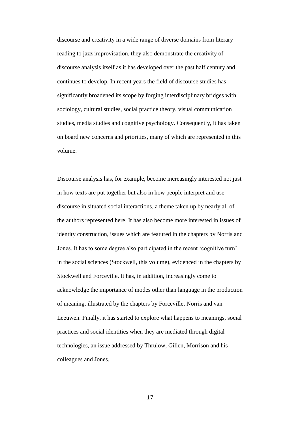discourse and creativity in a wide range of diverse domains from literary reading to jazz improvisation, they also demonstrate the creativity of discourse analysis itself as it has developed over the past half century and continues to develop. In recent years the field of discourse studies has significantly broadened its scope by forging interdisciplinary bridges with sociology, cultural studies, social practice theory, visual communication studies, media studies and cognitive psychology. Consequently, it has taken on board new concerns and priorities, many of which are represented in this volume.

Discourse analysis has, for example, become increasingly interested not just in how texts are put together but also in how people interpret and use discourse in situated social interactions, a theme taken up by nearly all of the authors represented here. It has also become more interested in issues of identity construction, issues which are featured in the chapters by Norris and Jones. It has to some degree also participated in the recent 'cognitive turn' in the social sciences (Stockwell, this volume), evidenced in the chapters by Stockwell and Forceville. It has, in addition, increasingly come to acknowledge the importance of modes other than language in the production of meaning, illustrated by the chapters by Forceville, Norris and van Leeuwen. Finally, it has started to explore what happens to meanings, social practices and social identities when they are mediated through digital technologies, an issue addressed by Thrulow, Gillen, Morrison and his colleagues and Jones.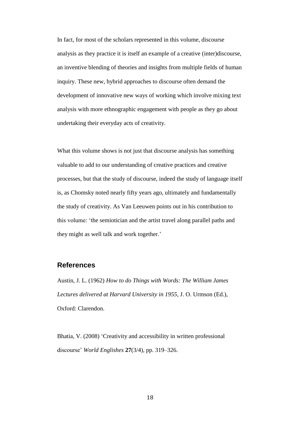In fact, for most of the scholars represented in this volume, discourse analysis as they practice it is itself an example of a creative (inter)discourse, an inventive blending of theories and insights from multiple fields of human inquiry. These new, hybrid approaches to discourse often demand the development of innovative new ways of working which involve mixing text analysis with more ethnographic engagement with people as they go about undertaking their everyday acts of creativity.

What this volume shows is not just that discourse analysis has something valuable to add to our understanding of creative practices and creative processes, but that the study of discourse, indeed the study of language itself is, as Chomsky noted nearly fifty years ago, ultimately and fundamentally the study of creativity. As Van Leeuwen points out in his contribution to this volume: 'the semiotician and the artist travel along parallel paths and they might as well talk and work together.'

#### **References**

Austin, J. L. (1962) *How to do Things with Words: The William James Lectures delivered at Harvard University in 1955*, J. O. Urmson (Ed.), Oxford: Clarendon.

Bhatia, V. (2008) 'Creativity and accessibility in written professional discourse' *World Englishes* **27**(3/4), pp. 319–326.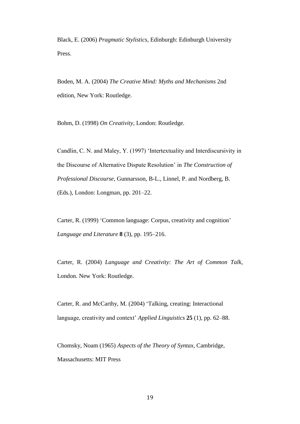Black, E. (2006) *Pragmatic Stylistics*, Edinburgh: Edinburgh University Press.

Boden, M. A. (2004) *The Creative Mind: Myths and Mechanisms* 2nd edition, New York: Routledge.

Bohm, D. (1998) *On Creativity*, London: Routledge.

Candlin, C. N. and Maley, Y. (1997) 'Intertextuality and Interdiscursivity in the Discourse of Alternative Dispute Resolution' in *The Construction of Professional Discourse*, Gunnarsson, B-L., Linnel, P. and Nordberg, B. (Eds.), London: Longman, pp. 201–22.

Carter, R. (1999) 'Common language: Corpus, creativity and cognition' *Language and Literature* **8** (3), pp. 195–216.

Carter, R. (2004) *Language and Creativity: The Art of Common Talk*, London. New York: Routledge.

Carter, R. and McCarthy, M. (2004) 'Talking, creating: Interactional language, creativity and context' *Applied Linguistics* **25** (1), pp. 62–88.

Chomsky, Noam (1965) *Aspects of the Theory of Syntax*, Cambridge, Massachusetts: MIT Press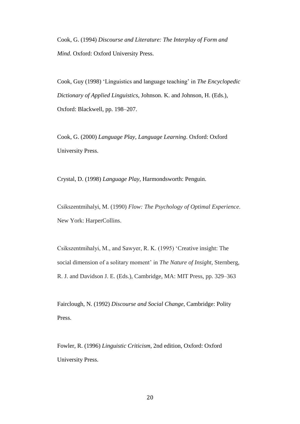Cook, G. (1994) *Discourse and Literature: The Interplay of Form and Mind*. Oxford: Oxford University Press.

Cook, Guy (1998) 'Linguistics and language teaching' in *The Encyclopedic Dictionary of Applied Linguistics*, Johnson. K. and Johnson, H. (Eds.), Oxford: Blackwell, pp. 198–207.

Cook, G. (2000) *Language Play, Language Learning*. Oxford: Oxford University Press.

Crystal, D. (1998) *Language Play*, Harmondsworth: Penguin.

Csikszentmihalyi, M. (1990) *Flow: The Psychology of Optimal Experience*. New York: HarperCollins.

Csikszentmihalyi, M., and Sawyer, R. K. (1995) 'Creative insight: The social dimension of a solitary moment' in *The Nature of Insight*, Sternberg, R. J. and Davidson J. E. (Eds.), Cambridge, MA: MIT Press, pp. 329–363

Fairclough, N. (1992) *Discourse and Social Change*, Cambridge: Polity Press.

Fowler, R. (1996) *Linguistic Criticism*, 2nd edition, Oxford: Oxford University Press.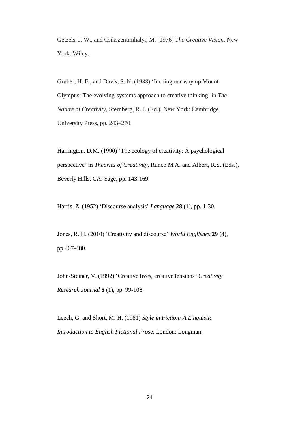Getzels, J. W., and Csikszentmihalyi, M. (1976) *The Creative Vision*. New York: Wiley.

Gruber, H. E., and Davis, S. N. (1988) 'Inching our way up Mount Olympus: The evolving-systems approach to creative thinking' in *The Nature of Creativity*, Sternberg, R. J. (Ed.), New York: Cambridge University Press, pp. 243–270.

Harrington, D.M. (1990) 'The ecology of creativity: A psychological perspective' in *Theories of Creativity*, Runco M.A. and Albert, R.S. (Eds.), Beverly Hills, CA: Sage, pp. 143-169.

Harris, Z. (1952) 'Discourse analysis' *Language* **28** (1), pp. 1-30.

Jones, R. H. (2010) 'Creativity and discourse' *World Englishes* **29** (4), pp.467-480.

John-Steiner, V. (1992) 'Creative lives, creative tensions' *Creativity Research Journal* **5** (1), pp. 99-108.

Leech, G. and Short, M. H. (1981) *Style in Fiction: A Linguistic Introduction to English Fictional Prose*, London: Longman.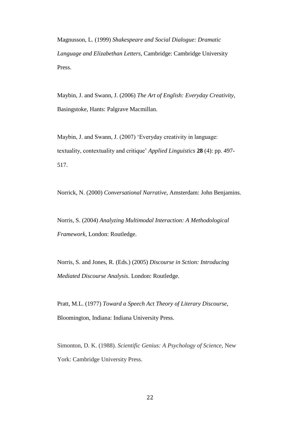Magnusson, L. (1999) *Shakespeare and Social Dialogue: Dramatic Language and Elizabethan Letters*, Cambridge: Cambridge University Press.

Maybin, J. and Swann, J. (2006) *The Art of English: Everyday Creativity*, Basingstoke, Hants: Palgrave Macmillan.

Maybin, J. and Swann, J. (2007) 'Everyday creativity in language: textuality, contextuality and critique' *Applied Linguistics* **28** (4): pp. 497- 517.

Norrick, N. (2000) *Conversational Narrative*, Amsterdam: John Benjamins.

Norris, S. (2004) *Analyzing Multimodal Interaction: A Methodological Framework*, London: Routledge.

Norris, S. and Jones, R. (Eds.) (2005) *Discourse in Sction: Introducing Mediated Discourse Analysis*. London: Routledge.

Pratt, M.L. (1977) *Toward a Speech Act Theory of Literary Discourse*, Bloomington, Indiana: Indiana University Press.

Simonton, D. K. (1988). *Scientific Genius: A Psychology of Science*, New York: Cambridge University Press.